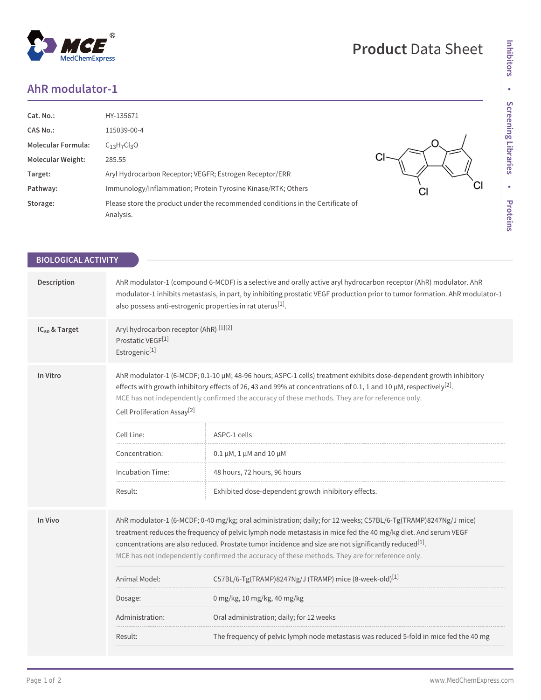## **AhR modulator-1**

| Cat. No.:                 | HY-135671                                                                                    |    |
|---------------------------|----------------------------------------------------------------------------------------------|----|
| <b>CAS No.:</b>           | 115039-00-4                                                                                  |    |
| <b>Molecular Formula:</b> | $C_{13}H_{7}Cl_{3}O$                                                                         |    |
| <b>Molecular Weight:</b>  | 285.55                                                                                       |    |
| Target:                   | Aryl Hydrocarbon Receptor; VEGFR; Estrogen Receptor/ERR                                      |    |
| Pathway:                  | Immunology/Inflammation; Protein Tyrosine Kinase/RTK; Others                                 | CI |
| Storage:                  | Please store the product under the recommended conditions in the Certificate of<br>Analysis. |    |

| <b>BIOLOGICAL ACTIVITY</b> |                                                                                                                                                                                                                                                                                                                                                                                                                                                         |                                                                                        |  |
|----------------------------|---------------------------------------------------------------------------------------------------------------------------------------------------------------------------------------------------------------------------------------------------------------------------------------------------------------------------------------------------------------------------------------------------------------------------------------------------------|----------------------------------------------------------------------------------------|--|
|                            |                                                                                                                                                                                                                                                                                                                                                                                                                                                         |                                                                                        |  |
| Description                | AhR modulator-1 (compound 6-MCDF) is a selective and orally active aryl hydrocarbon receptor (AhR) modulator. AhR<br>modulator-1 inhibits metastasis, in part, by inhibiting prostatic VEGF production prior to tumor formation. AhR modulator-1<br>also possess anti-estrogenic properties in rat uterus <sup>[1]</sup> .                                                                                                                              |                                                                                        |  |
| IC <sub>50</sub> & Target  | Aryl hydrocarbon receptor (AhR) [1][2]<br>Prostatic VEGF <sup>[1]</sup><br>Estrogenic <sup>[1]</sup>                                                                                                                                                                                                                                                                                                                                                    |                                                                                        |  |
| In Vitro                   | AhR modulator-1 (6-MCDF; 0.1-10 µM; 48-96 hours; ASPC-1 cells) treatment exhibits dose-dependent growth inhibitory<br>effects with growth inhibitory effects of 26, 43 and 99% at concentrations of 0.1, 1 and 10 $\mu$ M, respectively <sup>[2]</sup> .<br>MCE has not independently confirmed the accuracy of these methods. They are for reference only.<br>Cell Proliferation Assay <sup>[2]</sup>                                                  |                                                                                        |  |
|                            | Cell Line:                                                                                                                                                                                                                                                                                                                                                                                                                                              | ASPC-1 cells                                                                           |  |
|                            | Concentration:                                                                                                                                                                                                                                                                                                                                                                                                                                          | $0.1 \mu M$ , 1 $\mu$ M and 10 $\mu$ M                                                 |  |
|                            | <b>Incubation Time:</b>                                                                                                                                                                                                                                                                                                                                                                                                                                 | 48 hours, 72 hours, 96 hours                                                           |  |
|                            | Result:                                                                                                                                                                                                                                                                                                                                                                                                                                                 | Exhibited dose-dependent growth inhibitory effects.                                    |  |
| In Vivo                    | AhR modulator-1 (6-MCDF; 0-40 mg/kg; oral administration; daily; for 12 weeks; C57BL/6-Tg(TRAMP)8247Ng/J mice)<br>treatment reduces the frequency of pelvic lymph node metastasis in mice fed the 40 mg/kg diet. And serum VEGF<br>concentrations are also reduced. Prostate tumor incidence and size are not significantly reduced <sup>[1]</sup> .<br>MCE has not independently confirmed the accuracy of these methods. They are for reference only. |                                                                                        |  |
|                            | Animal Model:                                                                                                                                                                                                                                                                                                                                                                                                                                           | C57BL/6-Tg(TRAMP)8247Ng/J (TRAMP) mice (8-week-old) <sup>[1]</sup>                     |  |
|                            | Dosage:                                                                                                                                                                                                                                                                                                                                                                                                                                                 | 0 mg/kg, 10 mg/kg, 40 mg/kg                                                            |  |
|                            | Administration:                                                                                                                                                                                                                                                                                                                                                                                                                                         | Oral administration; daily; for 12 weeks                                               |  |
|                            | Result:                                                                                                                                                                                                                                                                                                                                                                                                                                                 | The frequency of pelvic lymph node metastasis was reduced 5-fold in mice fed the 40 mg |  |
|                            |                                                                                                                                                                                                                                                                                                                                                                                                                                                         |                                                                                        |  |

## **Product** Data Sheet